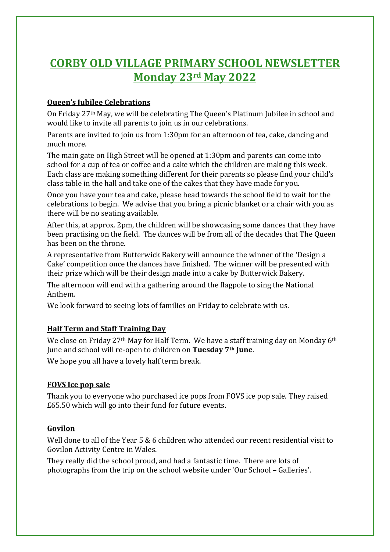# **CORBY OLD VILLAGE PRIMARY SCHOOL NEWSLETTER Monday 23rd May 2022**

#### **Queen's Jubilee Celebrations**

On Friday 27th May, we will be celebrating The Queen's Platinum Jubilee in school and would like to invite all parents to join us in our celebrations.

Parents are invited to join us from 1:30pm for an afternoon of tea, cake, dancing and much more.

The main gate on High Street will be opened at 1:30pm and parents can come into school for a cup of tea or coffee and a cake which the children are making this week. Each class are making something different for their parents so please find your child's class table in the hall and take one of the cakes that they have made for you.

Once you have your tea and cake, please head towards the school field to wait for the celebrations to begin. We advise that you bring a picnic blanket or a chair with you as there will be no seating available.

After this, at approx. 2pm, the children will be showcasing some dances that they have been practising on the field. The dances will be from all of the decades that The Queen has been on the throne.

A representative from Butterwick Bakery will announce the winner of the 'Design a Cake' competition once the dances have finished. The winner will be presented with their prize which will be their design made into a cake by Butterwick Bakery.

The afternoon will end with a gathering around the flagpole to sing the National Anthem.

We look forward to seeing lots of families on Friday to celebrate with us.

#### **Half Term and Staff Training Day**

We close on Friday 27<sup>th</sup> May for Half Term. We have a staff training day on Monday 6<sup>th</sup> June and school will re-open to children on **Tuesday 7th June**.

We hope you all have a lovely half term break.

#### **FOVS Ice pop sale**

Thank you to everyone who purchased ice pops from FOVS ice pop sale. They raised £65.50 which will go into their fund for future events.

#### **Govilon**

Well done to all of the Year 5 & 6 children who attended our recent residential visit to Govilon Activity Centre in Wales.

They really did the school proud, and had a fantastic time. There are lots of photographs from the trip on the school website under 'Our School – Galleries'.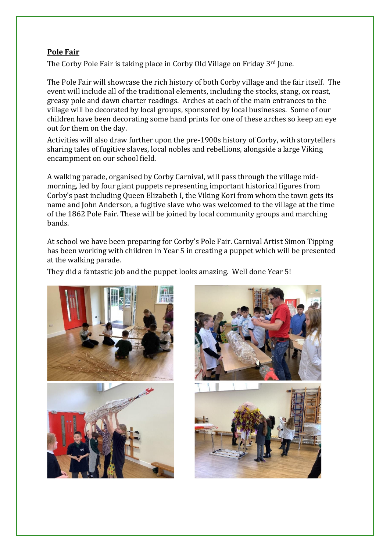#### **Pole Fair**

The Corby Pole Fair is taking place in Corby Old Village on Friday 3rd June.

The Pole Fair will showcase the rich history of both Corby village and the fair itself. The event will include all of the traditional elements, including the stocks, stang, ox roast, greasy pole and dawn charter readings. Arches at each of the main entrances to the village will be decorated by local groups, sponsored by local businesses. Some of our children have been decorating some hand prints for one of these arches so keep an eye out for them on the day.

Activities will also draw further upon the pre-1900s history of Corby, with storytellers sharing tales of fugitive slaves, local nobles and rebellions, alongside a large Viking encampment on our school field.

A walking parade, organised by Corby Carnival, will pass through the village midmorning, led by four giant puppets representing important historical figures from Corby's past including Queen Elizabeth I, the Viking Kori from whom the town gets its name and John Anderson, a fugitive slave who was welcomed to the village at the time of the 1862 Pole Fair. These will be joined by local community groups and marching bands.

At school we have been preparing for Corby's Pole Fair. Carnival Artist Simon Tipping has been working with children in Year 5 in creating a puppet which will be presented at the walking parade.

They did a fantastic job and the puppet looks amazing. Well done Year 5!

 $\overline{\phantom{a}}$ 





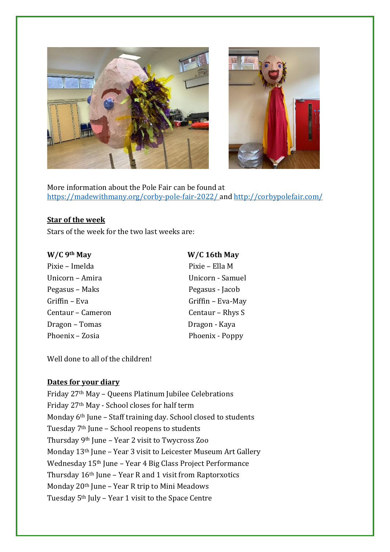



More information about the Pole Fair can be found at <https://madewithmany.org/corby-pole-fair-2022/> and<http://corbypolefair.com/>

#### **Star of the week**

Stars of the week for the two last weeks are:

Pixie – Imelda Pixie – Ella M Unicorn – Amira Unicorn - Samuel Pegasus – Maks Pegasus - Jacob Griffin – Eva Griffin – Eva-May Centaur – Cameron Centaur – Rhys S Dragon – Tomas Dragon - Kaya Phoenix – Zosia Phoenix - Poppy

### **W/C 9th May W/C 16th May**

Well done to all of the children!

#### **Dates for your diary**

Friday 27th May – Queens Platinum Jubilee Celebrations Friday 27th May - School closes for half term Monday 6th June – Staff training day. School closed to students Tuesday 7th June – School reopens to students Thursday 9th June – Year 2 visit to Twycross Zoo Monday 13th June – Year 3 visit to Leicester Museum Art Gallery Wednesday 15<sup>th</sup> June – Year 4 Big Class Project Performance Thursday 16th June – Year R and 1 visit from Raptorxotics Monday 20th June – Year R trip to Mini Meadows Tuesday 5th July – Year 1 visit to the Space Centre